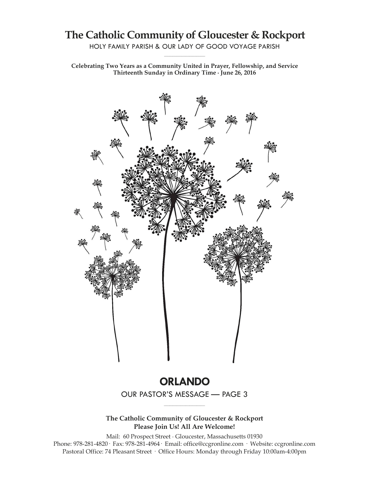# **The Catholic Community of Gloucester & Rockport**

HOLY FAMILY PARISH & OUR LADY OF GOOD VOYAGE PARISH **\_\_\_\_\_\_\_\_\_\_\_\_\_\_\_\_\_\_\_\_\_\_\_\_\_\_\_\_\_**

**Celebrating Two Years as a Community United in Prayer, Fellowship, and Service Thirteenth Sunday in Ordinary Time ∙ June 26, 2016**



**ORLANDO**

OUR PASTOR'S MESSAGE — PAGE 3 **\_\_\_\_\_\_\_\_\_\_\_\_\_\_\_\_\_\_\_\_\_\_\_\_\_\_\_\_\_**

**The Catholic Community of Gloucester & Rockport Please Join Us! All Are Welcome!**

Mail: 60 Prospect Street ∙ Gloucester, Massachusetts 01930 Phone: 978-281-4820· Fax: 978-281-4964· Email: office@ccgronline.com · Website: ccgronline.com Pastoral Office: 74 Pleasant Street · Office Hours: Monday through Friday 10:00am-4:00pm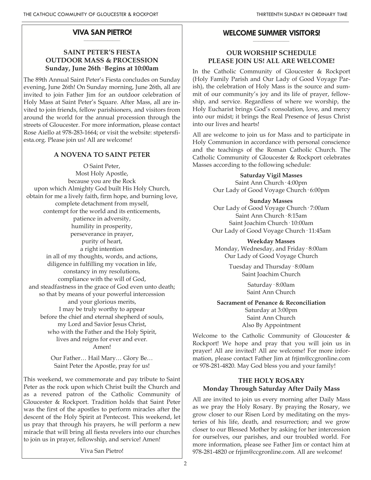### **VIVA SAN PIETRO! \_\_\_\_\_\_\_\_\_\_\_\_\_\_\_\_\_\_\_\_**

## **SAINT PETER'S FIESTA OUTDOOR MASS & PROCESSION Sunday, June 26th· Begins at 10:00am**

The 89th Annual Saint Peter's Fiesta concludes on Sunday evening, June 26th! On Sunday morning, June 26th, all are invited to join Father Jim for an outdoor celebration of Holy Mass at Saint Peter's Square. After Mass, all are invited to join friends, fellow parishioners, and visitors from around the world for the annual procession through the streets of Gloucester. For more information, please contact Rose Aiello at 978-283-1664; or visit the website: stpetersfiesta.org. Please join us! All are welcome!

## **A NOVENA TO SAINT PETER**

O Saint Peter, Most Holy Apostle, because you are the Rock upon which Almighty God built His Holy Church, obtain for me a lively faith, firm hope, and burning love, complete detachment from myself, contempt for the world and its enticements, patience in adversity, humility in prosperity, perseverance in prayer, purity of heart, a right intention in all of my thoughts, words, and actions, diligence in fulfilling my vocation in life, constancy in my resolutions, compliance with the will of God, and steadfastness in the grace of God even unto death; so that by means of your powerful intercession and your glorious merits, I may be truly worthy to appear before the chief and eternal shepherd of souls, my Lord and Savior Jesus Christ, who with the Father and the Holy Spirit, lives and reigns for ever and ever. Amen!

> Our Father… Hail Mary… Glory Be… Saint Peter the Apostle, pray for us!

This weekend, we commemorate and pay tribute to Saint Peter as the rock upon which Christ built the Church and as a revered patron of the Catholic Community of Gloucester & Rockport. Tradition holds that Saint Peter was the first of the apostles to perform miracles after the descent of the Holy Spirit at Pentecost. This weekend, let us pray that through his prayers, he will perform a new miracle that will bring all fiesta revelers into our churches to join us in prayer, fellowship, and service! Amen!

Viva San Pietro!

#### **WELCOME SUMMER VISITORS! \_\_\_\_\_\_\_\_\_\_\_\_\_\_\_\_\_\_\_\_**

## **OUR WORSHIP SCHEDULE PLEASE JOIN US! ALL ARE WELCOME!**

In the Catholic Community of Gloucester & Rockport (Holy Family Parish and Our Lady of Good Voyage Parish), the celebration of Holy Mass is the source and summit of our community's joy and its life of prayer, fellowship, and service. Regardless of where we worship, the Holy Eucharist brings God's consolation, love, and mercy into our midst; it brings the Real Presence of Jesus Christ into our lives and hearts!

All are welcome to join us for Mass and to participate in Holy Communion in accordance with personal conscience and the teachings of the Roman Catholic Church. The Catholic Community of Gloucester & Rockport celebrates Masses according to the following schedule:

> **Saturday Vigil Masses** Saint Ann Church· 4:00pm Our Lady of Good Voyage Church· 6:00pm

**Sunday Masses** Our Lady of Good Voyage Church· 7:00am Saint Ann Church· 8:15am Saint Joachim Church· 10:00am Our Lady of Good Voyage Church· 11:45am

**Weekday Masses** Monday, Wednesday, and Friday· 8:00am Our Lady of Good Voyage Church

> Tuesday and Thursday· 8:00am Saint Joachim Church

> > Saturday· 8:00am Saint Ann Church

## **Sacrament of Penance & Reconciliation**

Saturday at 3:00pm Saint Ann Church Also By Appointment

Welcome to the Catholic Community of Gloucester & Rockport! We hope and pray that you will join us in prayer! All are invited! All are welcome! For more information, please contact Father Jim at frjim@ccgronline.com or 978-281-4820. May God bless you and your family!

## **THE HOLY ROSARY Monday Through Saturday After Daily Mass**

All are invited to join us every morning after Daily Mass as we pray the Holy Rosary. By praying the Rosary, we grow closer to our Risen Lord by meditating on the mysteries of his life, death, and resurrection; and we grow closer to our Blessed Mother by asking for her intercession for ourselves, our parishes, and our troubled world. For more information, please see Father Jim or contact him at 978-281-4820 or frjim@ccgronline.com. All are welcome!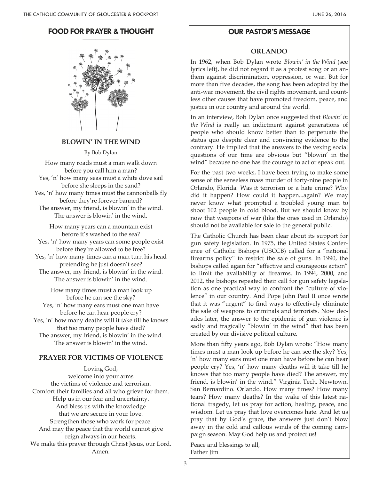### **FOOD FOR PRAYER & THOUGHT \_\_\_\_\_\_\_\_\_\_\_\_\_\_\_\_\_\_\_\_**



### **BLOWIN' IN THE WIND**

### By Bob Dylan

How many roads must a man walk down before you call him a man? Yes, 'n' how many seas must a white dove sail before she sleeps in the sand? Yes, 'n' how many times must the cannonballs fly before they're forever banned? The answer, my friend, is blowin' in the wind. The answer is blowin' in the wind.

How many years can a mountain exist before it's washed to the sea? Yes, 'n' how many years can some people exist before they're allowed to be free? Yes, 'n' how many times can a man turn his head pretending he just doesn't see? The answer, my friend, is blowin' in the wind. The answer is blowin' in the wind.

How many times must a man look up before he can see the sky? Yes, 'n' how many ears must one man have before he can hear people cry? Yes, 'n' how many deaths will it take till he knows that too many people have died? The answer, my friend, is blowin' in the wind. The answer is blowin' in the wind.

## **PRAYER FOR VICTIMS OF VIOLENCE**

Loving God, welcome into your arms the victims of violence and terrorism. Comfort their families and all who grieve for them. Help us in our fear and uncertainty. And bless us with the knowledge that we are secure in your love. Strengthen those who work for peace. And may the peace that the world cannot give reign always in our hearts. We make this prayer through Christ Jesus, our Lord. Amen.

### **OUR PASTOR'S MESSAGE \_\_\_\_\_\_\_\_\_\_\_\_\_\_\_\_\_\_\_\_**

## **ORLANDO**

In 1962, when Bob Dylan wrote *Blowin' in the Wind* (see lyrics left), he did not regard it as a protest song or an anthem against discrimination, oppression, or war. But for more than five decades, the song has been adopted by the anti-war movement, the civil rights movement, and countless other causes that have promoted freedom, peace, and justice in our country and around the world.

In an interview, Bob Dylan once suggested that *Blowin' in the Wind* is really an indictment against generations of people who should know better than to perpetuate the status quo despite clear and convincing evidence to the contrary. He implied that the answers to the vexing social questions of our time are obvious but "blowin' in the wind" because no one has the courage to act or speak out.

For the past two weeks, I have been trying to make some sense of the senseless mass murder of forty-nine people in Orlando, Florida. Was it terrorism or a hate crime? Why did it happen? How could it happen...again? We may never know what prompted a troubled young man to shoot 102 people in cold blood. But we should know by now that weapons of war (like the ones used in Orlando) should not be available for sale to the general public.

The Catholic Church has been clear about its support for gun safety legislation. In 1975, the United States Conference of Catholic Bishops (USCCB) called for a "national firearms policy" to restrict the sale of guns. In 1990, the bishops called again for "effective and courageous action" to limit the availability of firearms. In 1994, 2000, and 2012, the bishops repeated their call for gun safety legislation as one practical way to confront the "culture of violence" in our country. And Pope John Paul II once wrote that it was "urgent" to find ways to effectively eliminate the sale of weapons to criminals and terrorists. Now decades later, the answer to the epidemic of gun violence is sadly and tragically "blowin' in the wind" that has been created by our divisive political culture.

More than fifty years ago, Bob Dylan wrote: "How many times must a man look up before he can see the sky? Yes, 'n' how many ears must one man have before he can hear people cry? Yes, 'n' how many deaths will it take till he knows that too many people have died? The answer, my friend, is blowin' in the wind." Virginia Tech. Newtown. San Bernardino. Orlando. How many times? How many tears? How many deaths? In the wake of this latest national tragedy, let us pray for action, healing, peace, and wisdom. Let us pray that love overcomes hate. And let us pray that by God's grace, the answers just don't blow away in the cold and callous winds of the coming campaign season. May God help us and protect us!

Peace and blessings to all, Father Jim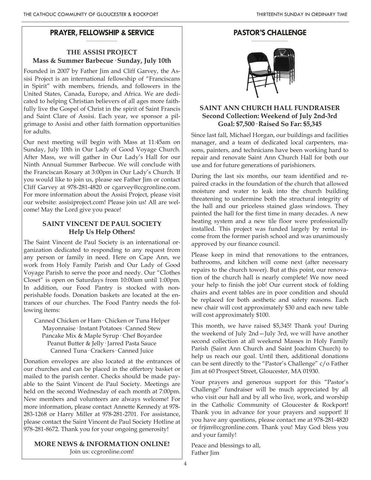### **PRAYER, FELLOWSHIP & SERVICE \_\_\_\_\_\_\_\_\_\_\_\_\_\_\_\_\_**

## **THE ASSISI PROJECT Mass & Summer Barbecue· Sunday, July 10th**

Founded in 2007 by Father Jim and Cliff Garvey, the Assisi Project is an international fellowship of "Franciscans in Spirit" with members, friends, and followers in the United States, Canada, Europe, and Africa. We are dedicated to helping Christian believers of all ages more faithfully live the Gospel of Christ in the spirit of Saint Francis and Saint Clare of Assisi. Each year, we sponsor a pilgrimage to Assisi and other faith formation opportunities for adults.

Our next meeting will begin with Mass at 11:45am on Sunday, July 10th in Our Lady of Good Voyage Church. After Mass, we will gather in Our Lady's Hall for our Ninth Annual Summer Barbecue. We will conclude with the Franciscan Rosary at 3:00pm in Our Lady's Church. If you would like to join us, please see Father Jim or contact Cliff Garvey at 978-281-4820 or cgarvey@ccgronline.com. For more information about the Assisi Project, please visit our website: assisiproject.com! Please join us! All are welcome! May the Lord give you peace!

## **SAINT VINCENT DE PAUL SOCIETY Help Us Help Others!**

The Saint Vincent de Paul Society is an international organization dedicated to responding to any request from any person or family in need. Here on Cape Ann, we work from Holy Family Parish and Our Lady of Good Voyage Parish to serve the poor and needy. Our "Clothes Closet" is open on Saturdays from 10:00am until 1:00pm. In addition, our Food Pantry is stocked with nonperishable foods. Donation baskets are located at the entrances of our churches. The Food Pantry needs the following items:

Canned Chicken or Ham· Chicken or Tuna Helper Mayonnaise· Instant Potatoes· Canned Stew Pancake Mix & Maple Syrup· Chef Boyardee Peanut Butter & Jelly· Jarred Pasta Sauce Canned Tuna· Crackers· Canned Juice

Donation envelopes are also located at the entrances of our churches and can be placed in the offertory basket or mailed to the parish center. Checks should be made payable to the Saint Vincent de Paul Society. Meetings are held on the second Wednesday of each month at 7:00pm. New members and volunteers are always welcome! For more information, please contact Annette Kennedy at 978- 283-1268 or Harry Miller at 978-281-2701. For assistance, please contact the Saint Vincent de Paul Society Hotline at 978-281-8672. Thank you for your ongoing generosity!

**MORE NEWS & INFORMATION ONLINE!** Join us: ccgronline.com!

## **PASTOR'S CHALLENGE**



## **SAINT ANN CHURCH HALL FUNDRAISER Second Collection: Weekend of July 2nd-3rd Goal: \$7,500· Raised So Far: \$5,345**

Since last fall, Michael Horgan, our buildings and facilities manager, and a team of dedicated local carpenters, masons, painters, and technicians have been working hard to repair and renovate Saint Ann Church Hall for both our use and for future generations of parishioners.

During the last six months, our team identified and repaired cracks in the foundation of the church that allowed moisture and water to leak into the church building threatening to undermine both the structural integrity of the hall and our priceless stained glass windows. They painted the hall for the first time in many decades. A new heating system and a new tile floor were professionally installed. This project was funded largely by rental income from the former parish school and was unanimously approved by our finance council.

Please keep in mind that renovations to the entrances, bathrooms, and kitchen will come next (after necessary repairs to the church tower). But at this point, our renovation of the church hall is nearly complete! We now need your help to finish the job! Our current stock of folding chairs and event tables are in poor condition and should be replaced for both aesthetic and safety reasons. Each new chair will cost approximately \$30 and each new table will cost approximately \$100.

This month, we have raised \$5,345! Thank you! During the weekend of July 2nd—July 3rd, we will have another second collection at all weekend Masses in Holy Family Parish (Saint Ann Church and Saint Joachim Church) to help us reach our goal. Until then, additional donations can be sent directly to the "Pastor's Challenge" c/o Father Jim at 60 Prospect Street, Gloucester, MA 01930.

Your prayers and generous support for this "Pastor's Challenge" fundraiser will be much appreciated by all who visit our hall and by all who live, work, and worship in the Catholic Community of Gloucester & Rockport! Thank you in advance for your prayers and support! If you have any questions, please contact me at 978-281-4820 or frjim@ccgronline.com. Thank you! May God bless you and your family!

Peace and blessings to all, Father Jim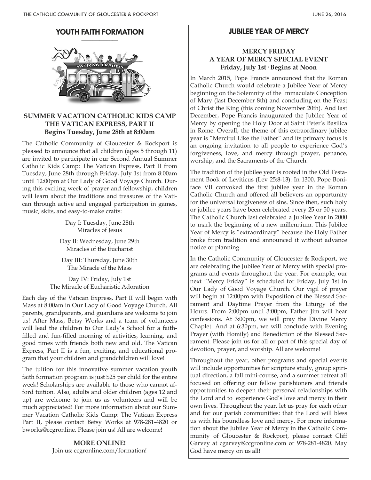## **YOUTH FAITH FORMATION**



## **SUMMER VACATION CATHOLIC KIDS CAMP THE VATICAN EXPRESS, PART II Begins Tuesday, June 28th at 8:00am**

The Catholic Community of Gloucester & Rockport is pleased to announce that all children (ages 5 through 11) are invited to participate in our Second Annual Summer Catholic Kids Camp: The Vatican Express, Part II from Tuesday, June 28th through Friday, July 1st from 8:00am until 12:00pm at Our Lady of Good Voyage Church. During this exciting week of prayer and fellowship, children will learn about the traditions and treasures of the Vatican through active and engaged participation in games, music, skits, and easy-to-make crafts:

> Day I: Tuesday, June 28th Miracles of Jesus

Day II: Wednesday, June 29th Miracles of the Eucharist

Day III: Thursday, June 30th The Miracle of the Mass

Day IV: Friday, July 1st The Miracle of Eucharistic Adoration

Each day of the Vatican Express, Part II will begin with Mass at 8:00am in Our Lady of Good Voyage Church. All parents, grandparents, and guardians are welcome to join us! After Mass, Betsy Works and a team of volunteers will lead the children to Our Lady's School for a faithfilled and fun-filled morning of activities, learning, and good times with friends both new and old. The Vatican Express, Part II is a fun, exciting, and educational program that your children and grandchildren will love!

The tuition for this innovative summer vacation youth faith formation program is just \$25 per child for the entire week! Scholarships are available to those who cannot afford tuition. Also, adults and older children (ages 12 and up) are welcome to join us as volunteers and will be much appreciated! For more information about our Summer Vacation Catholic Kids Camp: The Vatican Express Part II, please contact Betsy Works at 978-281-4820 or bworks@ccgronline. Please join us! All are welcome!

## **MORE ONLINE!**

Join us: ccgronline.com/formation!

#### **JUBILEE YEAR OF MERCY \_\_\_\_\_\_\_\_\_\_\_\_\_\_\_\_\_\_\_\_**

### **MERCY FRIDAY A YEAR OF MERCY SPECIAL EVENT Friday, July 1st· Begins at Noon**

In March 2015, Pope Francis announced that the Roman Catholic Church would celebrate a Jubilee Year of Mercy beginning on the Solemnity of the Immaculate Conception of Mary (last December 8th) and concluding on the Feast of Christ the King (this coming November 20th). And last December, Pope Francis inaugurated the Jubilee Year of Mercy by opening the Holy Door at Saint Peter's Basilica in Rome. Overall, the theme of this extraordinary jubilee year is "Merciful Like the Father" and its primary focus is an ongoing invitation to all people to experience God's forgiveness, love, and mercy through prayer, penance, worship, and the Sacraments of the Church.

The tradition of the jubilee year is rooted in the Old Testament Book of Leviticus (Lev 25:8-13). In 1300, Pope Boniface VII convoked the first jubilee year in the Roman Catholic Church and offered all believers an opportunity for the universal forgiveness of sins. Since then, such holy or jubilee years have been celebrated every 25 or 50 years. The Catholic Church last celebrated a Jubilee Year in 2000 to mark the beginning of a new millennium. This Jubilee Year of Mercy is "extraordinary" because the Holy Father broke from tradition and announced it without advance notice or planning.

In the Catholic Community of Gloucester & Rockport, we are celebrating the Jubilee Year of Mercy with special programs and events throughout the year. For example, our next "Mercy Friday" is scheduled for Friday, July 1st in Our Lady of Good Voyage Church. Our vigil of prayer will begin at 12:00pm with Exposition of the Blessed Sacrament and Daytime Prayer from the Liturgy of the Hours. From 2:00pm until 3:00pm, Father Jim will hear confessions. At 3:00pm, we will pray the Divine Mercy Chaplet. And at 6:30pm, we will conclude with Evening Prayer (with Homily) and Benediction of the Blessed Sacrament. Please join us for all or part of this special day of devotion, prayer, and worship. All are welcome!

Throughout the year, other programs and special events will include opportunities for scripture study, group spiritual direction, a fall mini-course, and a summer retreat all focused on offering our fellow parishioners and friends opportunities to deepen their personal relationships with the Lord and to experience God's love and mercy in their own lives. Throughout the year, let us pray for each other and for our parish communities: that the Lord will bless us with his boundless love and mercy. For more information about the Jubilee Year of Mercy in the Catholic Community of Gloucester & Rockport, please contact Cliff Garvey at cgarvey@ccgronline.com or 978-281-4820. May God have mercy on us all!